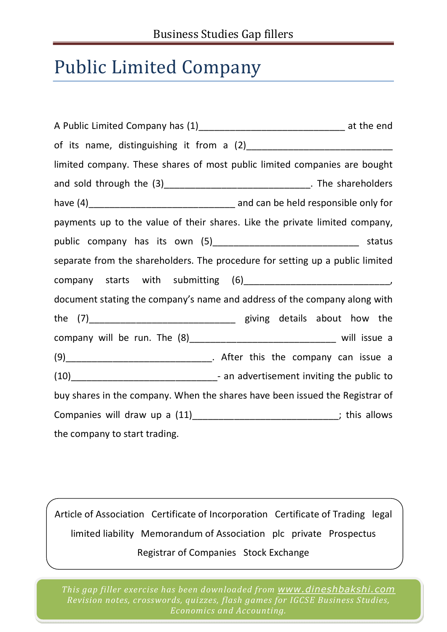## Public Limited Company

| limited company. These shares of most public limited companies are bought     |  |
|-------------------------------------------------------------------------------|--|
| and sold through the (3)__________________________________. The shareholders  |  |
|                                                                               |  |
| payments up to the value of their shares. Like the private limited company,   |  |
| public company has its own (5)___________________________________ status      |  |
| separate from the shareholders. The procedure for setting up a public limited |  |
|                                                                               |  |
| document stating the company's name and address of the company along with     |  |
|                                                                               |  |
| company will be run. The (8)_________________________________ will issue a    |  |
|                                                                               |  |
|                                                                               |  |
| buy shares in the company. When the shares have been issued the Registrar of  |  |
| Companies will draw up a (11)_______________________________; this allows     |  |
| the company to start trading.                                                 |  |

Article of Association Certificate of Incorporation Certificate of Trading legal limited liability Memorandum of Association plc private Prospectus Registrar of Companies Stock Exchange

*This gap filler exercise has been downloaded from www.dineshbakshi.com Revision notes, crosswords, quizzes, flash games for IGCSE Business Studies, Economics and Accounting.*